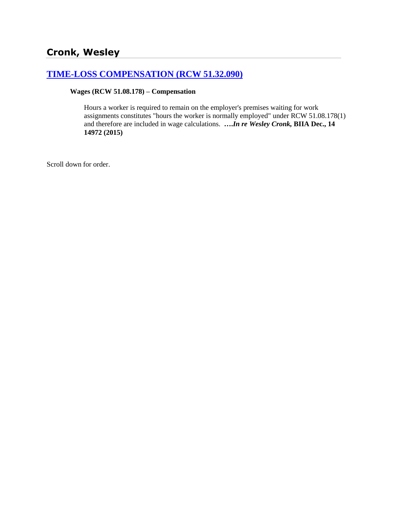# **[TIME-LOSS COMPENSATION \(RCW 51.32.090\)](http://www.biia.wa.gov/SDSubjectIndex.html#TIME_LOSS_COMPENSATION)**

#### **Wages (RCW 51.08.178) – Compensation**

Hours a worker is required to remain on the employer's premises waiting for work assignments constitutes "hours the worker is normally employed" under RCW 51.08.178(1) and therefore are included in wage calculations. **….***In re Wesley Cronk,* **BIIA Dec., 14 14972 (2015)**

Scroll down for order.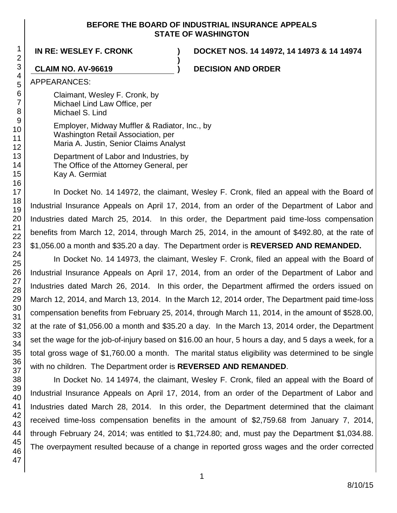### **BEFORE THE BOARD OF INDUSTRIAL INSURANCE APPEALS STATE OF WASHINGTON**

**)**

**IN RE: WESLEY F. CRONK ) DOCKET NOS. 14 14972, 14 14973 & 14 14974**

**CLAIM NO. AV-96619 ) DECISION AND ORDER**

APPEARANCES:

Claimant, Wesley F. Cronk, by Michael Lind Law Office, per Michael S. Lind

Employer, Midway Muffler & Radiator, Inc., by Washington Retail Association, per Maria A. Justin, Senior Claims Analyst

Department of Labor and Industries, by The Office of the Attorney General, per Kay A. Germiat

In Docket No. 14 14972, the claimant, Wesley F. Cronk, filed an appeal with the Board of Industrial Insurance Appeals on April 17, 2014, from an order of the Department of Labor and Industries dated March 25, 2014. In this order, the Department paid time-loss compensation benefits from March 12, 2014, through March 25, 2014, in the amount of \$492.80, at the rate of \$1,056.00 a month and \$35.20 a day. The Department order is **REVERSED AND REMANDED.**

In Docket No. 14 14973, the claimant, Wesley F. Cronk, filed an appeal with the Board of Industrial Insurance Appeals on April 17, 2014, from an order of the Department of Labor and Industries dated March 26, 2014. In this order, the Department affirmed the orders issued on March 12, 2014, and March 13, 2014. In the March 12, 2014 order, The Department paid time-loss compensation benefits from February 25, 2014, through March 11, 2014, in the amount of \$528.00, at the rate of \$1,056.00 a month and \$35.20 a day. In the March 13, 2014 order, the Department set the wage for the job-of-injury based on \$16.00 an hour, 5 hours a day, and 5 days a week, for a total gross wage of \$1,760.00 a month. The marital status eligibility was determined to be single with no children. The Department order is **REVERSED AND REMANDED**.

In Docket No. 14 14974, the claimant, Wesley F. Cronk, filed an appeal with the Board of Industrial Insurance Appeals on April 17, 2014, from an order of the Department of Labor and Industries dated March 28, 2014. In this order, the Department determined that the claimant received time-loss compensation benefits in the amount of \$2,759.68 from January 7, 2014, through February 24, 2014; was entitled to \$1,724.80; and, must pay the Department \$1,034.88. The overpayment resulted because of a change in reported gross wages and the order corrected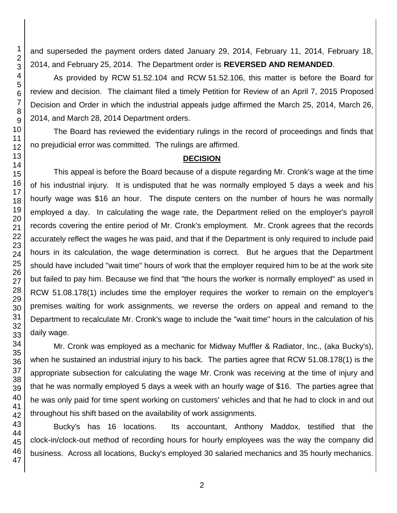and superseded the payment orders dated January 29, 2014, February 11, 2014, February 18, 2014, and February 25, 2014. The Department order is **REVERSED AND REMANDED**.

As provided by RCW 51.52.104 and RCW 51.52.106, this matter is before the Board for review and decision. The claimant filed a timely Petition for Review of an April 7, 2015 Proposed Decision and Order in which the industrial appeals judge affirmed the March 25, 2014, March 26, 2014, and March 28, 2014 Department orders.

The Board has reviewed the evidentiary rulings in the record of proceedings and finds that no prejudicial error was committed. The rulings are affirmed.

#### **DECISION**

This appeal is before the Board because of a dispute regarding Mr. Cronk's wage at the time of his industrial injury. It is undisputed that he was normally employed 5 days a week and his hourly wage was \$16 an hour. The dispute centers on the number of hours he was normally employed a day. In calculating the wage rate, the Department relied on the employer's payroll records covering the entire period of Mr. Cronk's employment. Mr. Cronk agrees that the records accurately reflect the wages he was paid, and that if the Department is only required to include paid hours in its calculation, the wage determination is correct. But he argues that the Department should have included "wait time" hours of work that the employer required him to be at the work site but failed to pay him. Because we find that "the hours the worker is normally employed" as used in RCW 51.08.178(1) includes time the employer requires the worker to remain on the employer's premises waiting for work assignments, we reverse the orders on appeal and remand to the Department to recalculate Mr. Cronk's wage to include the "wait time" hours in the calculation of his daily wage.

Mr. Cronk was employed as a mechanic for Midway Muffler & Radiator, Inc., (aka Bucky's), when he sustained an industrial injury to his back. The parties agree that RCW 51.08.178(1) is the appropriate subsection for calculating the wage Mr. Cronk was receiving at the time of injury and that he was normally employed 5 days a week with an hourly wage of \$16. The parties agree that he was only paid for time spent working on customers' vehicles and that he had to clock in and out throughout his shift based on the availability of work assignments.

Bucky's has 16 locations. Its accountant, Anthony Maddox, testified that the clock-in/clock-out method of recording hours for hourly employees was the way the company did business. Across all locations, Bucky's employed 30 salaried mechanics and 35 hourly mechanics.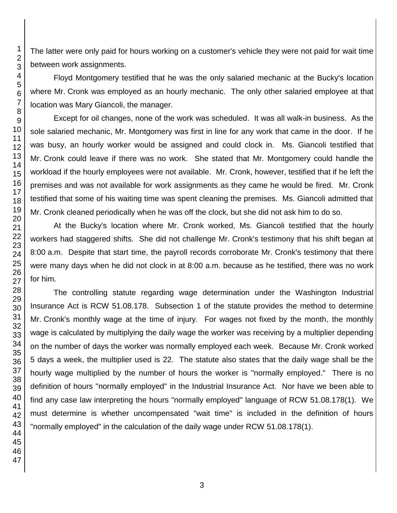The latter were only paid for hours working on a customer's vehicle they were not paid for wait time between work assignments.

Floyd Montgomery testified that he was the only salaried mechanic at the Bucky's location where Mr. Cronk was employed as an hourly mechanic. The only other salaried employee at that location was Mary Giancoli, the manager.

Except for oil changes, none of the work was scheduled. It was all walk-in business. As the sole salaried mechanic, Mr. Montgomery was first in line for any work that came in the door. If he was busy, an hourly worker would be assigned and could clock in. Ms. Giancoli testified that Mr. Cronk could leave if there was no work. She stated that Mr. Montgomery could handle the workload if the hourly employees were not available. Mr. Cronk, however, testified that if he left the premises and was not available for work assignments as they came he would be fired. Mr. Cronk testified that some of his waiting time was spent cleaning the premises. Ms. Giancoli admitted that Mr. Cronk cleaned periodically when he was off the clock, but she did not ask him to do so.

At the Bucky's location where Mr. Cronk worked, Ms. Giancoli testified that the hourly workers had staggered shifts. She did not challenge Mr. Cronk's testimony that his shift began at 8:00 a.m. Despite that start time, the payroll records corroborate Mr. Cronk's testimony that there were many days when he did not clock in at 8:00 a.m. because as he testified, there was no work for him.

The controlling statute regarding wage determination under the Washington Industrial Insurance Act is RCW 51.08.178. Subsection 1 of the statute provides the method to determine Mr. Cronk's monthly wage at the time of injury. For wages not fixed by the month, the monthly wage is calculated by multiplying the daily wage the worker was receiving by a multiplier depending on the number of days the worker was normally employed each week. Because Mr. Cronk worked 5 days a week, the multiplier used is 22. The statute also states that the daily wage shall be the hourly wage multiplied by the number of hours the worker is "normally employed." There is no definition of hours "normally employed" in the Industrial Insurance Act. Nor have we been able to find any case law interpreting the hours "normally employed" language of RCW 51.08.178(1). We must determine is whether uncompensated "wait time" is included in the definition of hours "normally employed" in the calculation of the daily wage under RCW 51.08.178(1).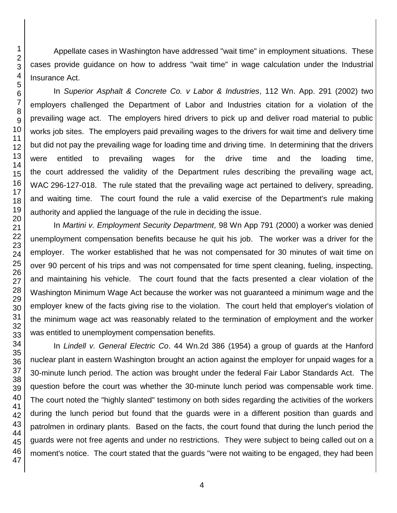Appellate cases in Washington have addressed "wait time" in employment situations. These cases provide guidance on how to address "wait time" in wage calculation under the Industrial Insurance Act.

In *Superior Asphalt & Concrete Co. v Labor & Industries*, 112 Wn. App. 291 (2002) two employers challenged the Department of Labor and Industries citation for a violation of the prevailing wage act. The employers hired drivers to pick up and deliver road material to public works job sites. The employers paid prevailing wages to the drivers for wait time and delivery time but did not pay the prevailing wage for loading time and driving time. In determining that the drivers were entitled to prevailing wages for the drive time and the loading time, the court addressed the validity of the Department rules describing the prevailing wage act, WAC 296-127-018. The rule stated that the prevailing wage act pertained to delivery, spreading, and waiting time. The court found the rule a valid exercise of the Department's rule making authority and applied the language of the rule in deciding the issue.

In *Martini v. Employment Security Department,* 98 Wn App 791 (2000) a worker was denied unemployment compensation benefits because he quit his job. The worker was a driver for the employer. The worker established that he was not compensated for 30 minutes of wait time on over 90 percent of his trips and was not compensated for time spent cleaning, fueling, inspecting, and maintaining his vehicle. The court found that the facts presented a clear violation of the Washington Minimum Wage Act because the worker was not guaranteed a minimum wage and the employer knew of the facts giving rise to the violation. The court held that employer's violation of the minimum wage act was reasonably related to the termination of employment and the worker was entitled to unemployment compensation benefits.

In *Lindell v. General Electric Co*. 44 Wn.2d 386 (1954) a group of guards at the Hanford nuclear plant in eastern Washington brought an action against the employer for unpaid wages for a 30-minute lunch period. The action was brought under the federal Fair Labor Standards Act. The question before the court was whether the 30-minute lunch period was compensable work time. The court noted the "highly slanted" testimony on both sides regarding the activities of the workers during the lunch period but found that the guards were in a different position than guards and patrolmen in ordinary plants. Based on the facts, the court found that during the lunch period the guards were not free agents and under no restrictions. They were subject to being called out on a moment's notice. The court stated that the guards "were not waiting to be engaged, they had been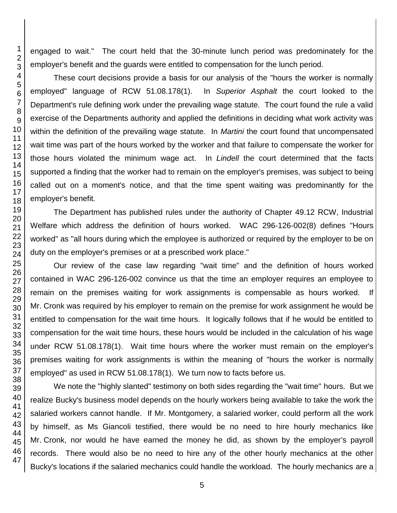engaged to wait." The court held that the 30-minute lunch period was predominately for the employer's benefit and the guards were entitled to compensation for the lunch period.

These court decisions provide a basis for our analysis of the "hours the worker is normally employed" language of RCW 51.08.178(1). In *Superior Asphalt* the court looked to the Department's rule defining work under the prevailing wage statute. The court found the rule a valid exercise of the Departments authority and applied the definitions in deciding what work activity was within the definition of the prevailing wage statute. In *Martini* the court found that uncompensated wait time was part of the hours worked by the worker and that failure to compensate the worker for those hours violated the minimum wage act. In *Lindell* the court determined that the facts supported a finding that the worker had to remain on the employer's premises, was subject to being called out on a moment's notice, and that the time spent waiting was predominantly for the employer's benefit.

The Department has published rules under the authority of Chapter 49.12 RCW, Industrial Welfare which address the definition of hours worked. WAC 296-126-002(8) defines "Hours worked" as "all hours during which the employee is authorized or required by the employer to be on duty on the employer's premises or at a prescribed work place."

Our review of the case law regarding "wait time" and the definition of hours worked contained in WAC 296-126-002 convince us that the time an employer requires an employee to remain on the premises waiting for work assignments is compensable as hours worked. If Mr. Cronk was required by his employer to remain on the premise for work assignment he would be entitled to compensation for the wait time hours. It logically follows that if he would be entitled to compensation for the wait time hours, these hours would be included in the calculation of his wage under RCW 51.08.178(1). Wait time hours where the worker must remain on the employer's premises waiting for work assignments is within the meaning of "hours the worker is normally employed" as used in RCW 51.08.178(1). We turn now to facts before us.

We note the "highly slanted" testimony on both sides regarding the "wait time" hours. But we realize Bucky's business model depends on the hourly workers being available to take the work the salaried workers cannot handle. If Mr. Montgomery, a salaried worker, could perform all the work by himself, as Ms Giancoli testified, there would be no need to hire hourly mechanics like Mr. Cronk, nor would he have earned the money he did, as shown by the employer's payroll records. There would also be no need to hire any of the other hourly mechanics at the other Bucky's locations if the salaried mechanics could handle the workload. The hourly mechanics are a

5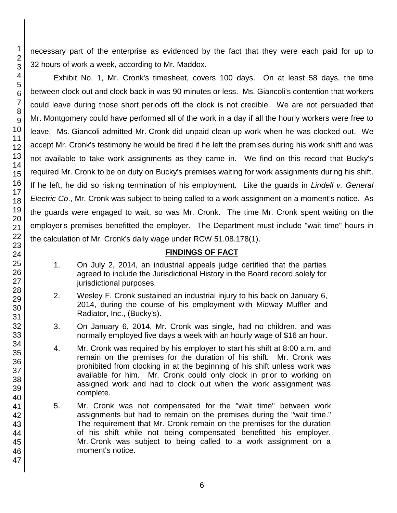necessary part of the enterprise as evidenced by the fact that they were each paid for up to 32 hours of work a week, according to Mr. Maddox.

Exhibit No. 1, Mr. Cronk's timesheet, covers 100 days. On at least 58 days, the time between clock out and clock back in was 90 minutes or less. Ms. Giancoli's contention that workers could leave during those short periods off the clock is not credible. We are not persuaded that Mr. Montgomery could have performed all of the work in a day if all the hourly workers were free to leave. Ms. Giancoli admitted Mr. Cronk did unpaid clean-up work when he was clocked out. We accept Mr. Cronk's testimony he would be fired if he left the premises during his work shift and was not available to take work assignments as they came in. We find on this record that Bucky's required Mr. Cronk to be on duty on Bucky's premises waiting for work assignments during his shift. If he left, he did so risking termination of his employment. Like the guards in *Lindell v. General Electric Co*., Mr. Cronk was subject to being called to a work assignment on a moment's notice. As the guards were engaged to wait, so was Mr. Cronk. The time Mr. Cronk spent waiting on the employer's premises benefitted the employer. The Department must include "wait time" hours in the calculation of Mr. Cronk's daily wage under RCW 51.08.178(1).

## **FINDINGS OF FACT**

- 1. On July 2, 2014, an industrial appeals judge certified that the parties agreed to include the Jurisdictional History in the Board record solely for jurisdictional purposes.
- 2. Wesley F. Cronk sustained an industrial injury to his back on January 6, 2014, during the course of his employment with Midway Muffler and Radiator, Inc., (Bucky's).
- 3. On January 6, 2014, Mr. Cronk was single, had no children, and was normally employed five days a week with an hourly wage of \$16 an hour.
- 4. Mr. Cronk was required by his employer to start his shift at 8:00 a.m. and remain on the premises for the duration of his shift. Mr. Cronk was prohibited from clocking in at the beginning of his shift unless work was available for him. Mr. Cronk could only clock in prior to working on assigned work and had to clock out when the work assignment was complete.
- 5. Mr. Cronk was not compensated for the "wait time" between work assignments but had to remain on the premises during the "wait time." The requirement that Mr. Cronk remain on the premises for the duration of his shift while not being compensated benefitted his employer. Mr. Cronk was subject to being called to a work assignment on a moment's notice.